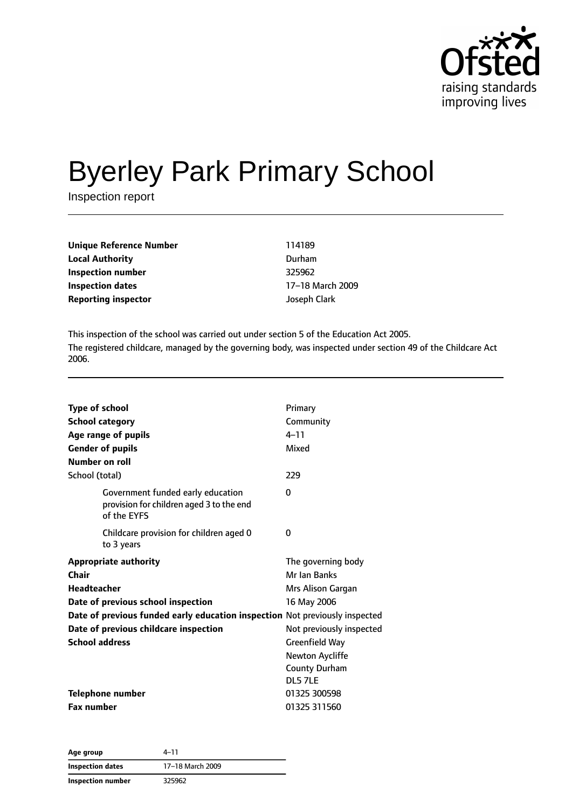

# Byerley Park Primary School

Inspection report

| Unique Reference Number    | 114189       |
|----------------------------|--------------|
| <b>Local Authority</b>     | Durham       |
| Inspection number          | 325962       |
| Inspection dates           | 17-18 March  |
| <b>Reporting inspector</b> | Joseph Clark |

**Inspection dates** 17–18 March 2009

This inspection of the school was carried out under section 5 of the Education Act 2005. The registered childcare, managed by the governing body, was inspected under section 49 of the Childcare Act 2006.

| <b>Type of school</b><br><b>School category</b><br>Age range of pupils<br><b>Gender of pupils</b><br>Number on roll                                                                                                                                       | Primary<br>Community<br>$4 - 11$<br>Mixed                                                                                                                                        |
|-----------------------------------------------------------------------------------------------------------------------------------------------------------------------------------------------------------------------------------------------------------|----------------------------------------------------------------------------------------------------------------------------------------------------------------------------------|
| School (total)                                                                                                                                                                                                                                            | 229                                                                                                                                                                              |
| Government funded early education<br>provision for children aged 3 to the end<br>of the EYFS                                                                                                                                                              | 0                                                                                                                                                                                |
| Childcare provision for children aged 0<br>to 3 years                                                                                                                                                                                                     | 0                                                                                                                                                                                |
| <b>Appropriate authority</b><br><b>Chair</b><br><b>Headteacher</b><br>Date of previous school inspection<br>Date of previous funded early education inspection Not previously inspected<br>Date of previous childcare inspection<br><b>School address</b> | The governing body<br>Mr Ian Banks<br>Mrs Alison Gargan<br>16 May 2006<br>Not previously inspected<br><b>Greenfield Way</b><br>Newton Aycliffe<br><b>County Durham</b><br>DL57LE |
| Telephone number<br><b>Fax number</b>                                                                                                                                                                                                                     | 01325 300598<br>01325 311560                                                                                                                                                     |

| Age group               | 4–11             |  |
|-------------------------|------------------|--|
| <b>Inspection dates</b> | 17-18 March 2009 |  |
| Inspection number       | 325962           |  |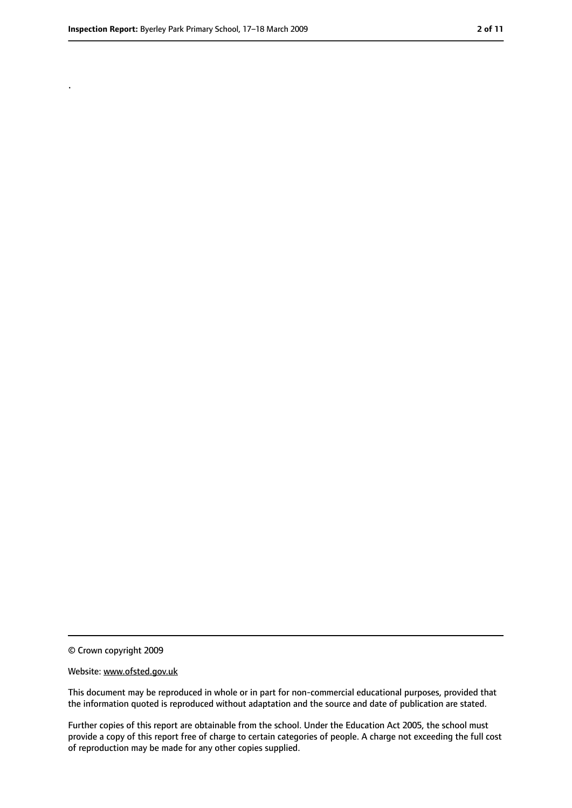.

<sup>©</sup> Crown copyright 2009

Website: www.ofsted.gov.uk

This document may be reproduced in whole or in part for non-commercial educational purposes, provided that the information quoted is reproduced without adaptation and the source and date of publication are stated.

Further copies of this report are obtainable from the school. Under the Education Act 2005, the school must provide a copy of this report free of charge to certain categories of people. A charge not exceeding the full cost of reproduction may be made for any other copies supplied.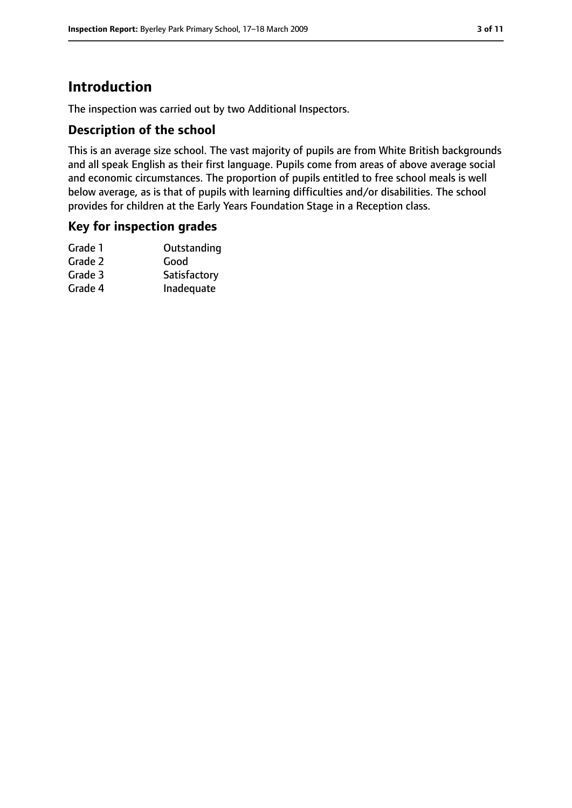### **Introduction**

The inspection was carried out by two Additional Inspectors.

#### **Description of the school**

This is an average size school. The vast majority of pupils are from White British backgrounds and all speak English as their first language. Pupils come from areas of above average social and economic circumstances. The proportion of pupils entitled to free school meals is well below average, as is that of pupils with learning difficulties and/or disabilities. The school provides for children at the Early Years Foundation Stage in a Reception class.

#### **Key for inspection grades**

| Outstanding  |
|--------------|
| Good         |
| Satisfactory |
| Inadequate   |
|              |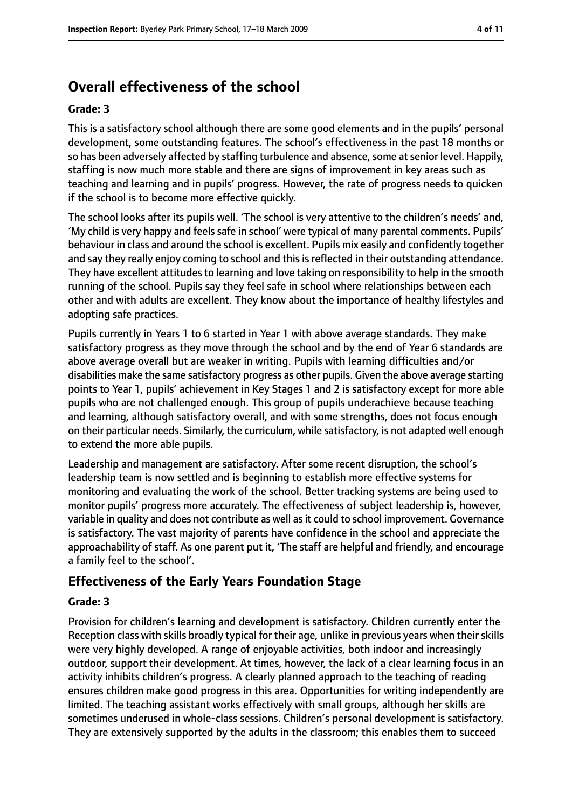### **Overall effectiveness of the school**

#### **Grade: 3**

This is a satisfactory school although there are some good elements and in the pupils' personal development, some outstanding features. The school's effectiveness in the past 18 months or so has been adversely affected by staffing turbulence and absence, some at senior level. Happily, staffing is now much more stable and there are signs of improvement in key areas such as teaching and learning and in pupils' progress. However, the rate of progress needs to quicken if the school is to become more effective quickly.

The school looks after its pupils well. 'The school is very attentive to the children's needs' and, 'My child is very happy and feelssafe in school' were typical of many parental comments. Pupils' behaviour in class and around the school is excellent. Pupils mix easily and confidently together and say they really enjoy coming to school and this is reflected in their outstanding attendance. They have excellent attitudes to learning and love taking on responsibility to help in the smooth running of the school. Pupils say they feel safe in school where relationships between each other and with adults are excellent. They know about the importance of healthy lifestyles and adopting safe practices.

Pupils currently in Years 1 to 6 started in Year 1 with above average standards. They make satisfactory progress as they move through the school and by the end of Year 6 standards are above average overall but are weaker in writing. Pupils with learning difficulties and/or disabilities make the same satisfactory progress as other pupils. Given the above average starting points to Year 1, pupils' achievement in Key Stages 1 and 2 is satisfactory except for more able pupils who are not challenged enough. This group of pupils underachieve because teaching and learning, although satisfactory overall, and with some strengths, does not focus enough on their particular needs. Similarly, the curriculum, while satisfactory, is not adapted well enough to extend the more able pupils.

Leadership and management are satisfactory. After some recent disruption, the school's leadership team is now settled and is beginning to establish more effective systems for monitoring and evaluating the work of the school. Better tracking systems are being used to monitor pupils' progress more accurately. The effectiveness of subject leadership is, however, variable in quality and does not contribute as well as it could to school improvement. Governance is satisfactory. The vast majority of parents have confidence in the school and appreciate the approachability of staff. As one parent put it, 'The staff are helpful and friendly, and encourage a family feel to the school'.

### **Effectiveness of the Early Years Foundation Stage**

#### **Grade: 3**

Provision for children's learning and development is satisfactory. Children currently enter the Reception class with skills broadly typical for their age, unlike in previous years when their skills were very highly developed. A range of enjoyable activities, both indoor and increasingly outdoor, support their development. At times, however, the lack of a clear learning focus in an activity inhibits children's progress. A clearly planned approach to the teaching of reading ensures children make good progress in this area. Opportunities for writing independently are limited. The teaching assistant works effectively with small groups, although her skills are sometimes underused in whole-class sessions. Children's personal development is satisfactory. They are extensively supported by the adults in the classroom; this enables them to succeed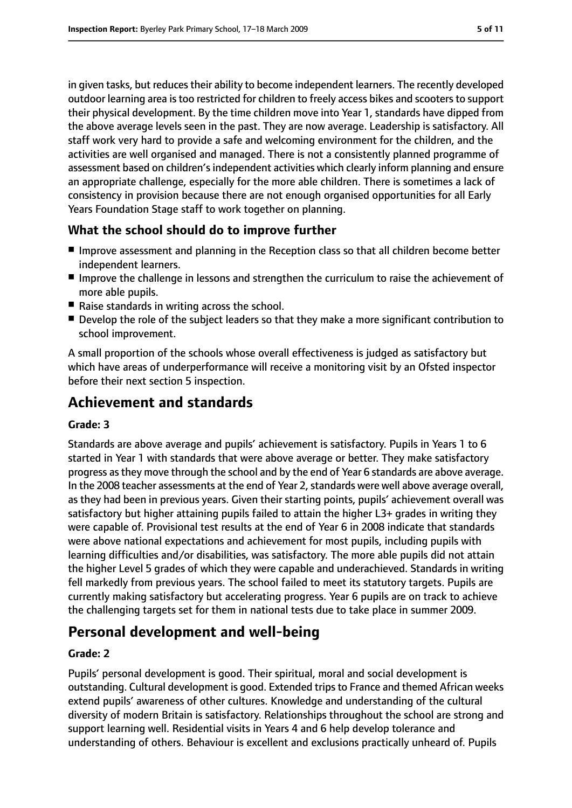in given tasks, but reduces their ability to become independent learners. The recently developed outdoor learning area is too restricted for children to freely access bikes and scooters to support their physical development. By the time children move into Year 1, standards have dipped from the above average levels seen in the past. They are now average. Leadership is satisfactory. All staff work very hard to provide a safe and welcoming environment for the children, and the activities are well organised and managed. There is not a consistently planned programme of assessment based on children's independent activities which clearly inform planning and ensure an appropriate challenge, especially for the more able children. There is sometimes a lack of consistency in provision because there are not enough organised opportunities for all Early Years Foundation Stage staff to work together on planning.

#### **What the school should do to improve further**

- Improve assessment and planning in the Reception class so that all children become better independent learners.
- Improve the challenge in lessons and strengthen the curriculum to raise the achievement of more able pupils.
- Raise standards in writing across the school.
- Develop the role of the subject leaders so that they make a more significant contribution to school improvement.

A small proportion of the schools whose overall effectiveness is judged as satisfactory but which have areas of underperformance will receive a monitoring visit by an Ofsted inspector before their next section 5 inspection.

### **Achievement and standards**

#### **Grade: 3**

Standards are above average and pupils' achievement is satisfactory. Pupils in Years 1 to 6 started in Year 1 with standards that were above average or better. They make satisfactory progress asthey move through the school and by the end of Year 6 standards are above average. In the 2008 teacher assessments at the end of Year 2, standards were well above average overall, as they had been in previous years. Given their starting points, pupils' achievement overall was satisfactory but higher attaining pupils failed to attain the higher L3+ grades in writing they were capable of. Provisional test results at the end of Year 6 in 2008 indicate that standards were above national expectations and achievement for most pupils, including pupils with learning difficulties and/or disabilities, was satisfactory. The more able pupils did not attain the higher Level 5 grades of which they were capable and underachieved. Standards in writing fell markedly from previous years. The school failed to meet its statutory targets. Pupils are currently making satisfactory but accelerating progress. Year 6 pupils are on track to achieve the challenging targets set for them in national tests due to take place in summer 2009.

### **Personal development and well-being**

#### **Grade: 2**

Pupils' personal development is good. Their spiritual, moral and social development is outstanding. Cultural development is good. Extended tripsto France and themed African weeks extend pupils' awareness of other cultures. Knowledge and understanding of the cultural diversity of modern Britain is satisfactory. Relationships throughout the school are strong and support learning well. Residential visits in Years 4 and 6 help develop tolerance and understanding of others. Behaviour is excellent and exclusions practically unheard of. Pupils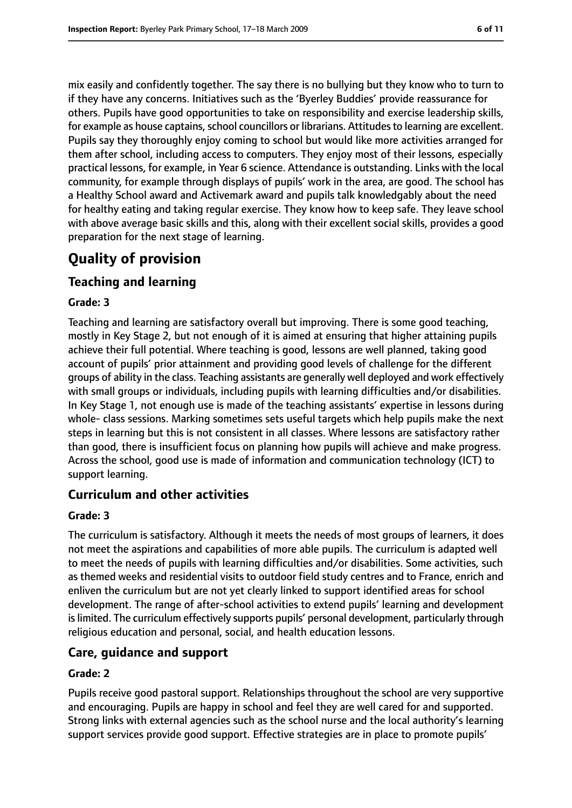mix easily and confidently together. The say there is no bullying but they know who to turn to if they have any concerns. Initiatives such as the 'Byerley Buddies' provide reassurance for others. Pupils have good opportunities to take on responsibility and exercise leadership skills, for example as house captains, school councillors or librarians. Attitudes to learning are excellent. Pupils say they thoroughly enjoy coming to school but would like more activities arranged for them after school, including access to computers. They enjoy most of their lessons, especially practical lessons, for example, in Year 6 science. Attendance is outstanding. Links with the local community, for example through displays of pupils' work in the area, are good. The school has a Healthy School award and Activemark award and pupils talk knowledgably about the need for healthy eating and taking regular exercise. They know how to keep safe. They leave school with above average basic skills and this, along with their excellent social skills, provides a good preparation for the next stage of learning.

### **Quality of provision**

### **Teaching and learning**

#### **Grade: 3**

Teaching and learning are satisfactory overall but improving. There is some good teaching, mostly in Key Stage 2, but not enough of it is aimed at ensuring that higher attaining pupils achieve their full potential. Where teaching is good, lessons are well planned, taking good account of pupils' prior attainment and providing good levels of challenge for the different groups of ability in the class. Teaching assistants are generally well deployed and work effectively with small groups or individuals, including pupils with learning difficulties and/or disabilities. In Key Stage 1, not enough use is made of the teaching assistants' expertise in lessons during whole- class sessions. Marking sometimes sets useful targets which help pupils make the next steps in learning but this is not consistent in all classes. Where lessons are satisfactory rather than good, there is insufficient focus on planning how pupils will achieve and make progress. Across the school, good use is made of information and communication technology (ICT) to support learning.

### **Curriculum and other activities**

#### **Grade: 3**

The curriculum is satisfactory. Although it meets the needs of most groups of learners, it does not meet the aspirations and capabilities of more able pupils. The curriculum is adapted well to meet the needs of pupils with learning difficulties and/or disabilities. Some activities, such as themed weeks and residential visits to outdoor field study centres and to France, enrich and enliven the curriculum but are not yet clearly linked to support identified areas for school development. The range of after-school activities to extend pupils' learning and development is limited. The curriculum effectively supports pupils' personal development, particularly through religious education and personal, social, and health education lessons.

### **Care, guidance and support**

#### **Grade: 2**

Pupils receive good pastoral support. Relationships throughout the school are very supportive and encouraging. Pupils are happy in school and feel they are well cared for and supported. Strong links with external agencies such as the school nurse and the local authority's learning support services provide good support. Effective strategies are in place to promote pupils'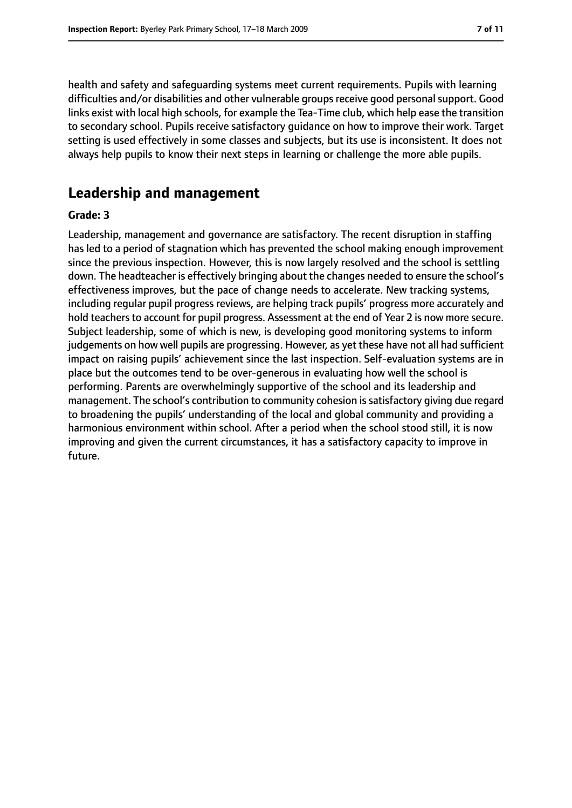health and safety and safeguarding systems meet current requirements. Pupils with learning difficulties and/or disabilities and other vulnerable groups receive good personal support. Good links exist with local high schools, for example the Tea-Time club, which help ease the transition to secondary school. Pupils receive satisfactory guidance on how to improve their work. Target setting is used effectively in some classes and subjects, but its use is inconsistent. It does not always help pupils to know their next steps in learning or challenge the more able pupils.

### **Leadership and management**

#### **Grade: 3**

Leadership, management and governance are satisfactory. The recent disruption in staffing has led to a period of stagnation which has prevented the school making enough improvement since the previous inspection. However, this is now largely resolved and the school is settling down. The headteacher is effectively bringing about the changes needed to ensure the school's effectiveness improves, but the pace of change needs to accelerate. New tracking systems, including regular pupil progress reviews, are helping track pupils' progress more accurately and hold teachers to account for pupil progress. Assessment at the end of Year 2 is now more secure. Subject leadership, some of which is new, is developing good monitoring systems to inform judgements on how well pupils are progressing. However, as yet these have not all had sufficient impact on raising pupils' achievement since the last inspection. Self-evaluation systems are in place but the outcomes tend to be over-generous in evaluating how well the school is performing. Parents are overwhelmingly supportive of the school and its leadership and management. The school's contribution to community cohesion is satisfactory giving due regard to broadening the pupils' understanding of the local and global community and providing a harmonious environment within school. After a period when the school stood still, it is now improving and given the current circumstances, it has a satisfactory capacity to improve in future.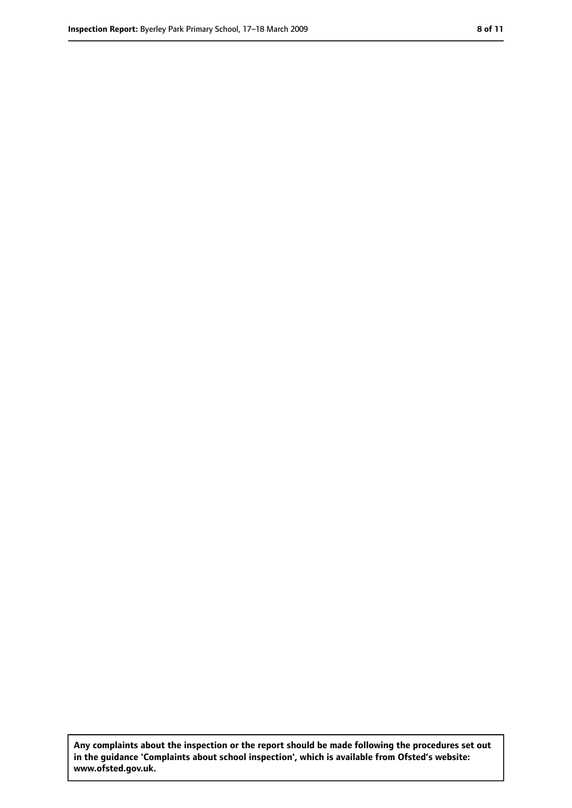**Any complaints about the inspection or the report should be made following the procedures set out in the guidance 'Complaints about school inspection', which is available from Ofsted's website: www.ofsted.gov.uk.**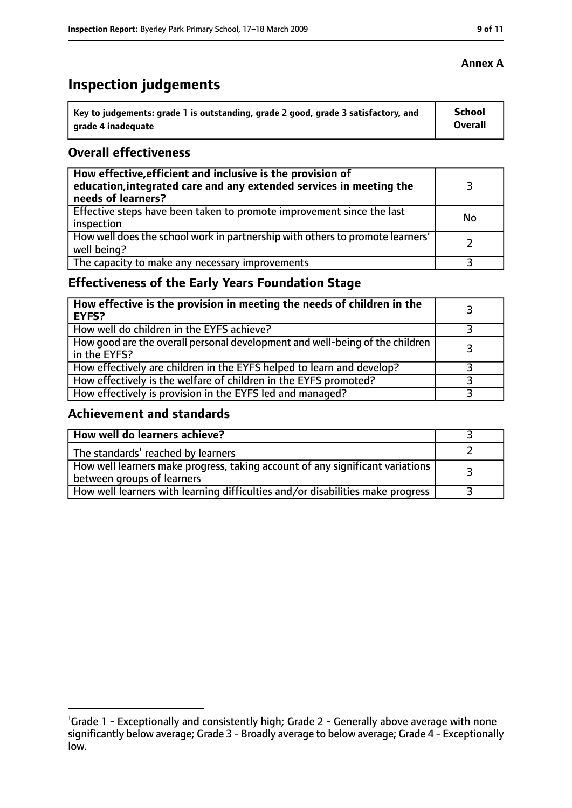## **Inspection judgements**

| Key to judgements: grade 1 is outstanding, grade 2 good, grade 3 satisfactory, and | School  |
|------------------------------------------------------------------------------------|---------|
| arade 4 inadequate                                                                 | Overall |

#### **Overall effectiveness**

| How effective, efficient and inclusive is the provision of<br>education, integrated care and any extended services in meeting the<br>needs of learners? |    |
|---------------------------------------------------------------------------------------------------------------------------------------------------------|----|
| Effective steps have been taken to promote improvement since the last<br>inspection                                                                     | No |
| How well does the school work in partnership with others to promote learners'<br>well being?                                                            |    |
| The capacity to make any necessary improvements                                                                                                         |    |

### **Effectiveness of the Early Years Foundation Stage**

| How effective is the provision in meeting the needs of children in the<br><b>EYFS?</b>       |  |
|----------------------------------------------------------------------------------------------|--|
| How well do children in the EYFS achieve?                                                    |  |
| How good are the overall personal development and well-being of the children<br>in the EYFS? |  |
| How effectively are children in the EYFS helped to learn and develop?                        |  |
| How effectively is the welfare of children in the EYFS promoted?                             |  |
| How effectively is provision in the EYFS led and managed?                                    |  |

### **Achievement and standards**

| How well do learners achieve?                                                                               |  |
|-------------------------------------------------------------------------------------------------------------|--|
| The standards <sup>1</sup> reached by learners                                                              |  |
| How well learners make progress, taking account of any significant variations<br>between groups of learners |  |
| How well learners with learning difficulties and/or disabilities make progress                              |  |

<sup>&</sup>lt;sup>1</sup>Grade 1 - Exceptionally and consistently high; Grade 2 - Generally above average with none significantly below average; Grade 3 - Broadly average to below average; Grade 4 - Exceptionally low.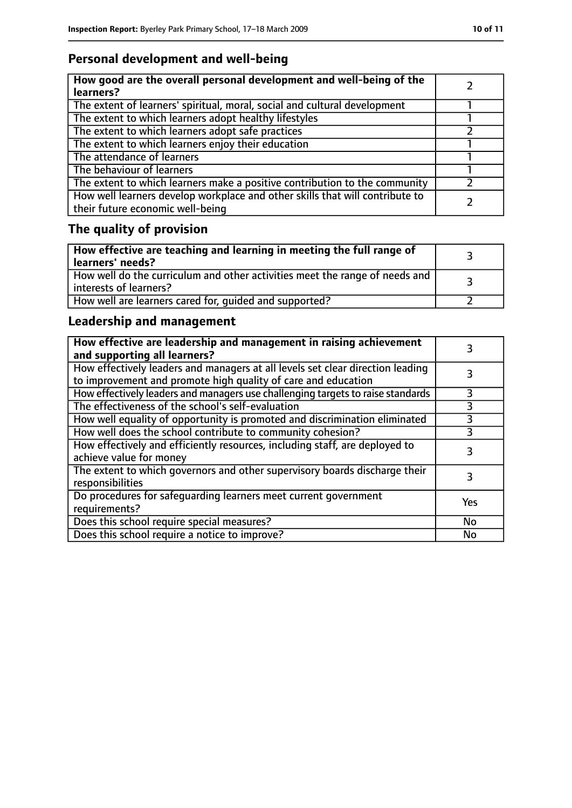### **Personal development and well-being**

| How good are the overall personal development and well-being of the<br>learners?                                 |  |
|------------------------------------------------------------------------------------------------------------------|--|
| The extent of learners' spiritual, moral, social and cultural development                                        |  |
| The extent to which learners adopt healthy lifestyles                                                            |  |
| The extent to which learners adopt safe practices                                                                |  |
| The extent to which learners enjoy their education                                                               |  |
| The attendance of learners                                                                                       |  |
| The behaviour of learners                                                                                        |  |
| The extent to which learners make a positive contribution to the community                                       |  |
| How well learners develop workplace and other skills that will contribute to<br>their future economic well-being |  |

## **The quality of provision**

| $\vert$ How effective are teaching and learning in meeting the full range of<br>  learners' needs?      |  |
|---------------------------------------------------------------------------------------------------------|--|
| How well do the curriculum and other activities meet the range of needs and<br>  interests of learners? |  |
| How well are learners cared for, quided and supported?                                                  |  |

### **Leadership and management**

| How effective are leadership and management in raising achievement<br>and supporting all learners?                                              |     |
|-------------------------------------------------------------------------------------------------------------------------------------------------|-----|
| How effectively leaders and managers at all levels set clear direction leading<br>to improvement and promote high quality of care and education |     |
| How effectively leaders and managers use challenging targets to raise standards                                                                 |     |
| The effectiveness of the school's self-evaluation                                                                                               | 3   |
| How well equality of opportunity is promoted and discrimination eliminated                                                                      | 3   |
| How well does the school contribute to community cohesion?                                                                                      | 3   |
| How effectively and efficiently resources, including staff, are deployed to<br>achieve value for money                                          | 3   |
| The extent to which governors and other supervisory boards discharge their<br>responsibilities                                                  |     |
| Do procedures for safequarding learners meet current government<br>requirements?                                                                | Yes |
| Does this school require special measures?                                                                                                      | No  |
| Does this school require a notice to improve?                                                                                                   | No  |